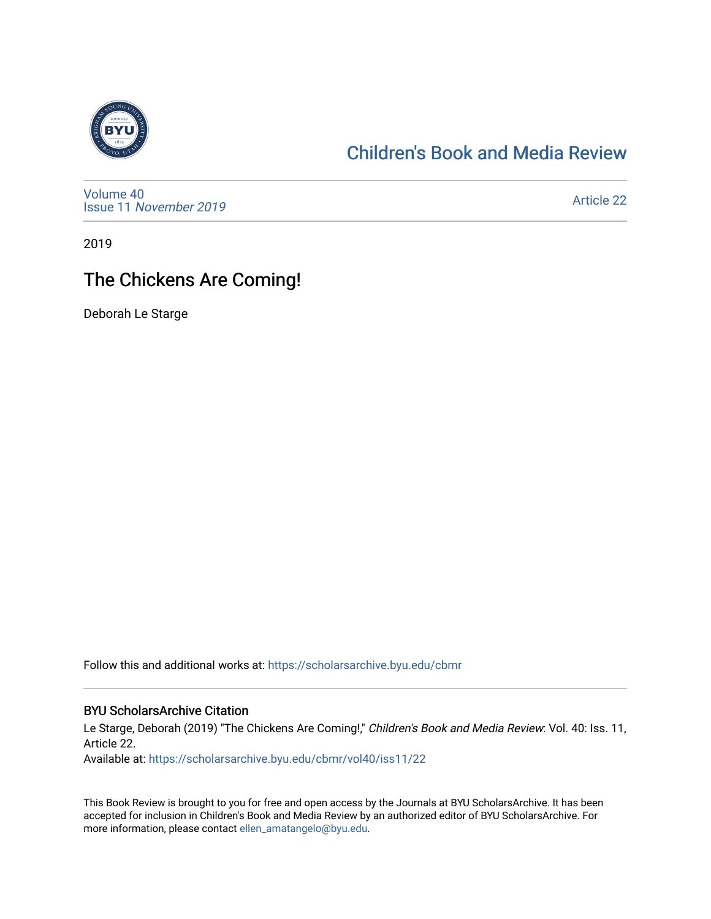

### [Children's Book and Media Review](https://scholarsarchive.byu.edu/cbmr)

[Volume 40](https://scholarsarchive.byu.edu/cbmr/vol40) Issue 11 [November 2019](https://scholarsarchive.byu.edu/cbmr/vol40/iss11) 

[Article 22](https://scholarsarchive.byu.edu/cbmr/vol40/iss11/22) 

2019

### The Chickens Are Coming!

Deborah Le Starge

Follow this and additional works at: [https://scholarsarchive.byu.edu/cbmr](https://scholarsarchive.byu.edu/cbmr?utm_source=scholarsarchive.byu.edu%2Fcbmr%2Fvol40%2Fiss11%2F22&utm_medium=PDF&utm_campaign=PDFCoverPages) 

#### BYU ScholarsArchive Citation

Le Starge, Deborah (2019) "The Chickens Are Coming!," Children's Book and Media Review: Vol. 40: Iss. 11, Article 22.

Available at: [https://scholarsarchive.byu.edu/cbmr/vol40/iss11/22](https://scholarsarchive.byu.edu/cbmr/vol40/iss11/22?utm_source=scholarsarchive.byu.edu%2Fcbmr%2Fvol40%2Fiss11%2F22&utm_medium=PDF&utm_campaign=PDFCoverPages) 

This Book Review is brought to you for free and open access by the Journals at BYU ScholarsArchive. It has been accepted for inclusion in Children's Book and Media Review by an authorized editor of BYU ScholarsArchive. For more information, please contact [ellen\\_amatangelo@byu.edu.](mailto:ellen_amatangelo@byu.edu)